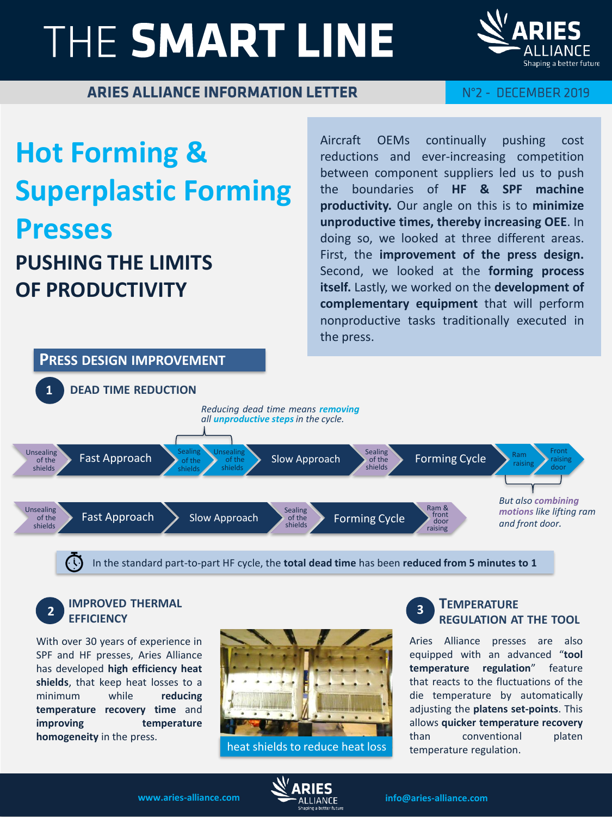# THE SMART LINE



### ARIES ALLIANCE INFORMATION LETTER

### N°2 - DECEMBER 2019

# **Hot Forming & Superplastic Forming Presses PUSHING THE LIMITS OF PRODUCTIVITY**

Aircraft OEMs continually pushing cost reductions and ever-increasing competition between component suppliers led us to push the boundaries of **HF & SPF machine productivity.** Our angle on this is to **minimize unproductive times, thereby increasing OEE**. In doing so, we looked at three different areas. First, the **improvement of the press design.** Second, we looked at the **forming process itself.** Lastly, we worked on the **development of complementary equipment** that will perform nonproductive tasks traditionally executed in the press.



In the standard part-to-part HF cycle, the **total dead time** has been **reduced from 5 minutes to 1**

#### **2 IMPROVED THERMAL EFFICIENCY**

With over 30 years of experience in SPF and HF presses, Aries Alliance has developed **high efficiency heat shields**, that keep heat losses to a minimum while **reducing temperature recovery time** and **improving temperature homogeneity** in the press.



heat shields to reduce heat loss

#### **TEMPERATURE REGULATION AT THE TOOL 3**

Aries Alliance presses are also equipped with an advanced "**tool temperature regulation**" feature that reacts to the fluctuations of the die temperature by automatically adjusting the **platens set-points**. This allows **quicker temperature recovery** than conventional platen temperature regulation.